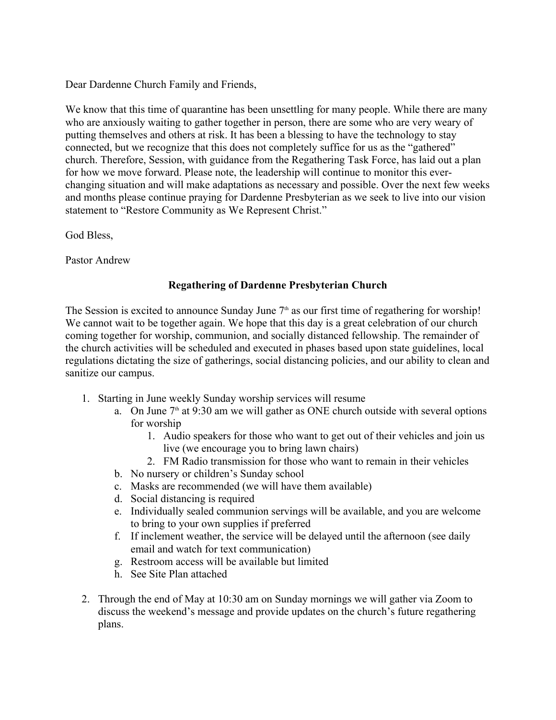Dear Dardenne Church Family and Friends,

We know that this time of quarantine has been unsettling for many people. While there are many who are anxiously waiting to gather together in person, there are some who are very weary of putting themselves and others at risk. It has been a blessing to have the technology to stay connected, but we recognize that this does not completely suffice for us as the "gathered" church. Therefore, Session, with guidance from the Regathering Task Force, has laid out a plan for how we move forward. Please note, the leadership will continue to monitor this everchanging situation and will make adaptations as necessary and possible. Over the next few weeks and months please continue praying for Dardenne Presbyterian as we seek to live into our vision statement to "Restore Community as We Represent Christ."

God Bless,

Pastor Andrew

## **Regathering of Dardenne Presbyterian Church**

The Session is excited to announce Sunday June  $7<sup>th</sup>$  as our first time of regathering for worship! We cannot wait to be together again. We hope that this day is a great celebration of our church coming together for worship, communion, and socially distanced fellowship. The remainder of the church activities will be scheduled and executed in phases based upon state guidelines, local regulations dictating the size of gatherings, social distancing policies, and our ability to clean and sanitize our campus.

- 1. Starting in June weekly Sunday worship services will resume
	- a. On June  $7<sup>th</sup>$  at 9:30 am we will gather as ONE church outside with several options for worship
		- 1. Audio speakers for those who want to get out of their vehicles and join us live (we encourage you to bring lawn chairs)
		- 2. FM Radio transmission for those who want to remain in their vehicles
	- b. No nursery or children's Sunday school
	- c. Masks are recommended (we will have them available)
	- d. Social distancing is required
	- e. Individually sealed communion servings will be available, and you are welcome to bring to your own supplies if preferred
	- f. If inclement weather, the service will be delayed until the afternoon (see daily email and watch for text communication)
	- g. Restroom access will be available but limited
	- h. See Site Plan attached
- 2. Through the end of May at 10:30 am on Sunday mornings we will gather via Zoom to discuss the weekend's message and provide updates on the church's future regathering plans.